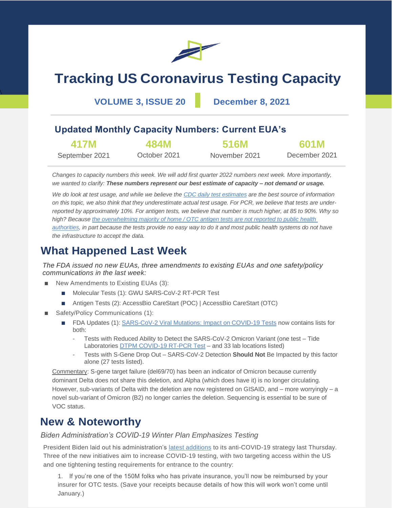

# **Tracking US Coronavirus Testing Capacity**

**VOLUME 3, ISSUE 20 December 8, 2021**

 $\overline{\phantom{0}}$ 

# **Updated Monthly Capacity Numbers: Current EUA's**

| 417M           | 484M         | <b>516M</b>   | <b>601M</b>   |
|----------------|--------------|---------------|---------------|
| September 2021 | October 2021 | November 2021 | December 2021 |

*Changes to capacity numbers this week. We will add first quarter 2022 numbers next week. More importantly, we wanted to clarify: These numbers represent our best estimate of capacity – not demand or usage.*

*We do look at test usage, and while we believe the [CDC daily test estimates](https://covid.cdc.gov/covid-data-tracker/#trends_newtestresultsreported) are the best source of information on this topic, we also think that they underestimate actual test usage. For PCR, we believe that tests are underreported by approximately 10%. For antigen tests, we believe that number is much higher, at 85 to 90%. Why so high? Becaus[e the overwhelming majority of home / OTC antigen tests are not reported to public health](https://www.statnews.com/2021/12/07/growing-use-of-home-covid19-tests-leaves-health-agencies-in-the-dark/)  [authorities,](https://www.statnews.com/2021/12/07/growing-use-of-home-covid19-tests-leaves-health-agencies-in-the-dark/) in part because the tests provide no easy way to do it and most public health systems do not have the infrastructure to accept the data.*

# **What Happened Last Week**

*The FDA issued no new EUAs, three amendments to existing EUAs and one safety/policy communications in the last week:*

- New Amendments to Existing EUAs (3):
	- Molecular Tests (1): GWU SARS-CoV-2 RT-PCR Test
	- Antigen Tests (2): AccessBio CareStart (POC) | AccessBio CareStart (OTC)
- Safety/Policy Communications (1):
	- FDA Updates (1): [SARS-CoV-2 Viral Mutations: Impact on COVID-19 Tests](https://www.fda.gov/medical-devices/coronavirus-covid-19-and-medical-devices/sars-cov-2-viral-mutations-impact-covid-19-tests) now contains lists for both:
		- Tests with Reduced Ability to Detect the SARS-CoV-2 Omicron Variant (one test Tide Laboratories **DTPM COVID-19 RT-PCR Test** – and 33 lab locations listed)
		- Tests with S-Gene Drop Out SARS-CoV-2 Detection **Should Not** Be Impacted by this factor alone (27 tests listed).

Commentary: S-gene target failure (del69/70) has been an indicator of Omicron because currently dominant Delta does not share this deletion, and Alpha (which does have it) is no longer circulating. However, sub-variants of Delta with the deletion are now registered on GISAID, and – more worryingly – a novel sub-variant of Omicron (B2) no longer carries the deletion. Sequencing is essential to be sure of VOC status.

# **New & Noteworthy**

## *Biden Administration's COVID-19 Winter Plan Emphasizes Testing*

President Biden laid out his administration's [latest additions](https://www.youtube.com/watch?v=X-wf7AIPdk4) to its anti-COVID-19 strategy last Thursday. Three of the new initiatives aim to increase COVID-19 testing, with two targeting access within the US and one tightening testing requirements for entrance to the country:

1. If you're one of the 150M folks who has private insurance, you'll now be reimbursed by your insurer for OTC tests. (Save your receipts because details of how this will work won't come until January.)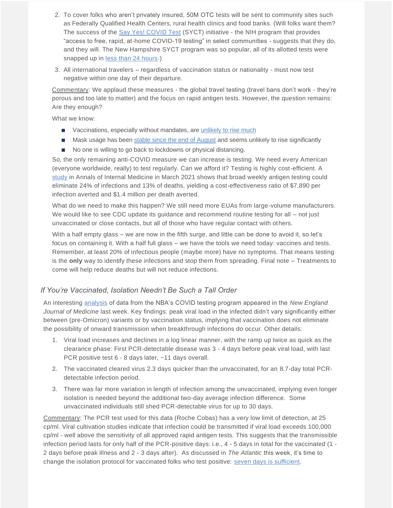- 2. To cover folks who aren't privately insured, 50M OTC tests will be sent to community sites such as Federally Qualified Health Centers, rural health clinics and food banks. (Will folks want them? The success of the [Say Yes! COVID Test](https://sayyescovidtest.org/) (SYCT) initiative - the NIH program that provides "access to free, rapid, at-home COVID-19 testing" in select communities - suggests that they do, and they will. The New Hampshire SYCT program was so popular, all of its allotted tests were snapped up in [less than 24 hours.](https://www.wmur.com/article/free-at-home-covid-test-kits-new-hampshire/38387393))
- 3. All international travelers regardless of vaccination status or nationality must now test negative within one day of their departure.

Commentary: We applaud these measures - the global travel testing (travel bans don't work - they're porous and too late to matter) and the focus on rapid antigen tests. However, the question remains: Are they enough?

What we know:

- Vaccinations, especially without mandates, are [unlikely to rise much](https://www.kff.org/coronavirus-covid-19/poll-finding/kff-covid-19-vaccine-monitor-november-2021/)
- Mask usage has been [stable since the end of August](https://delphi.cmu.edu/covidcast/indicator/?sensor=fb-survey-smoothed_wwearing_mask_7d&date=20211130) and seems unlikely to rise significantly
- No one is willing to go back to lockdowns or physical distancing.

So, the only remaining anti-COVID measure we can increase is testing. We need every American (everyone worldwide, really) to test regularly. Can we afford it? Testing is highly cost-efficient. A [study](https://www.acpjournals.org/doi/10.7326/M21-0510) in Annals of Internal Medicine in March 2021 shows that broad weekly antigen testing could eliminate 24% of infections and 13% of deaths, yielding a cost-effectiveness ratio of \$7,890 per infection averted and \$1.4 million per death averted.

What do we need to make this happen? We still need more EUAs from large-volume manufacturers. We would like to see CDC update its guidance and recommend routine testing for all – not just unvaccinated or close contacts, but all of those who have regular contact with others.

With a half empty glass – we are now in the fifth surge, and little can be done to avoid it, so let's focus on containing it. With a half full glass – we have the tools we need today: vaccines and tests. Remember, at least 20% of infectious people (maybe more) have no symptoms. That means testing is the **only** way to identify these infections and stop them from spreading. Final note – Treatments to come will help reduce deaths but will not reduce infections.

### *If You're Vaccinated, Isolation Needn't Be Such a Tall Order*

An interesting [analysis](https://www.nejm.org/doi/full/10.1056/NEJMc2102507) of data from the NBA's COVID testing program appeared in the *New England Journal of Medicine* last week. Key findings: peak viral load in the infected didn't vary significantly either between (pre-Omicron) variants or by vaccination status, implying that vaccination does not eliminate the possibility of onward transmission when breakthrough infections do occur. Other details:

- 1. Viral load increases and declines in a log linear manner, with the ramp up twice as quick as the clearance phase: First PCR-detectable disease was 3 - 4 days before peak viral load, with last PCR positive test 6 - 8 days later, ~11 days overall.
- 2. The vaccinated cleared virus 2.3 days quicker than the unvaccinated, for an 8.7-day total PCRdetectable infection period.
- 3. There was far more variation in length of infection among the unvaccinated, implying even longer isolation is needed beyond the additional two-day average infection difference. Some unvaccinated individuals still shed PCR-detectable virus for up to 30 days.

Commentary: The PCR test used for this data (Roche Cobas) has a very low limit of detection, at 25 cp/ml. Viral cultivation studies indicate that infection could be transmitted if viral load exceeds 100,000 cp/ml - well above the sensitivity of all approved rapid antigen tests. This suggests that the transmissible infection period lasts for only half of the PCR-positive days: i.e., 4 - 5 days in total for the vaccinated (1 - 2 days before peak illness and 2 - 3 days after). As discussed in *The Atlantic* this week, it's time to change the isolation protocol for vaccinated folks who test positive: [seven days is sufficient.](https://www.theatlantic.com/science/archive/2021/12/fully-vaccinated-covid-isolation-breakthrough-transmission/620919/)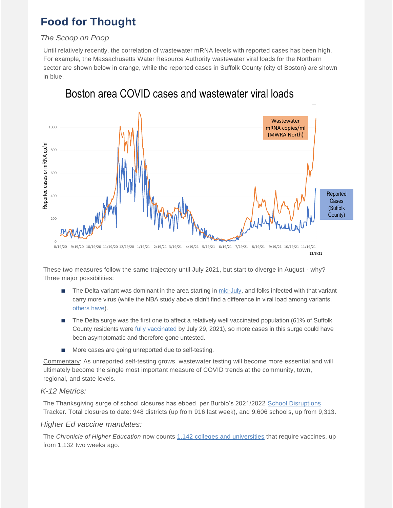# **Food for Thought**

## *The Scoop on Poop*

Until relatively recently, the correlation of wastewater mRNA levels with reported cases has been high. For example, the Massachusetts Water Resource Authority wastewater viral loads for the Northern sector are shown below in orange, while the reported cases in Suffolk County (city of Boston) are shown in blue.



Boston area COVID cases and wastewater viral loads

These two measures follow the same trajectory until July 2021, but start to diverge in August - why? Three major possibilities:

- The Delta variant was dominant in the area starting i[n mid-July,](https://www.bostonherald.com/2021/07/10/should-massachusetts-residents-worry-about-the-covid-19-delta-variant/) and folks infected with that variant carry more virus (while the NBA study above didn't find a difference in viral load among variants, [others have\)](https://www.nature.com/articles/d41586-021-01986-w).
- The Delta surge was the first one to affect a relatively well vaccinated population (61% of Suffolk County residents were [fully vaccinated](https://www.mass.gov/doc/weekly-covid-19-vaccination-report-july-29-2021/download) by July 29, 2021), so more cases in this surge could have been asymptomatic and therefore gone untested.
- More cases are going unreported due to self-testing.

Commentary: As unreported self-testing grows, wastewater testing will become more essential and will ultimately become the single most important measure of COVID trends at the community, town, regional, and state levels.

## *K-12 Metrics:*

The Thanksgiving surge of school closures has ebbed, per Burbio's 2021/2022 [School Disruptions](https://cai.burbio.com/school-opening-tracker/) Tracker. Total closures to date: 948 districts (up from 916 last week), and 9,606 schools, up from 9,313.

## *Higher Ed vaccine mandates:*

The *Chronicle of Higher Education* now counts [1,142 colleges and universities](https://www.chronicle.com/blogs/live-coronavirus-updates/heres-a-list-of-colleges-that-will-require-students-to-be-vaccinated-against-covid-19?utm_source=Iterable&utm_medium=email&utm_campaign=campaign_2491617_nl_Academe-Today_date_20210622&cid=at&source=&sourceId=&cid2=gen_login_refresh) that require vaccines, up from 1,132 two weeks ago.